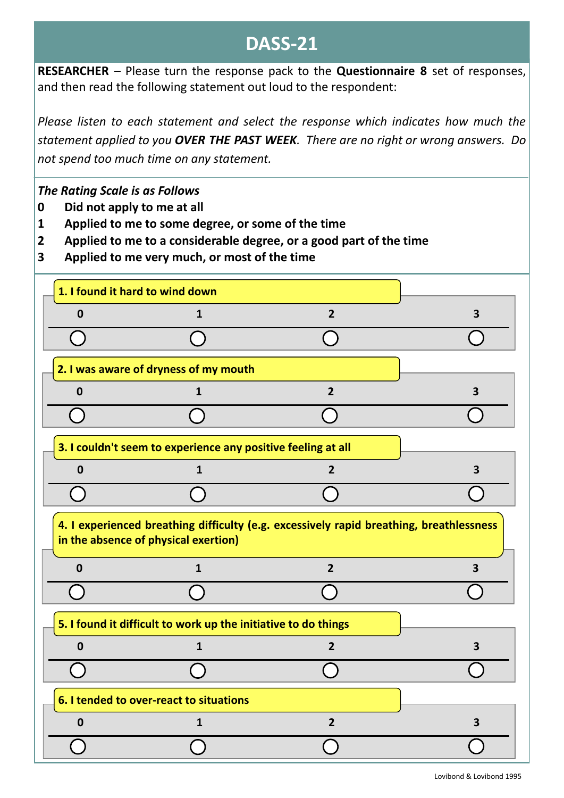## **DASS-21**

**RESEARCHER** – Please turn the response pack to the **Questionnaire 8** set of responses, and then read the following statement out loud to the respondent:

*Please listen to each statement and select the response which indicates how much the statement applied to you OVER THE PAST WEEK. There are no right or wrong answers. Do not spend too much time on any statement.*

## *The Rating Scale is as Follows*

- **0 Did not apply to me at all**
- **1 Applied to me to some degree, or some of the time**
- **2 Applied to me to a considerable degree, or a good part of the time**
- **3 Applied to me very much, or most of the time**

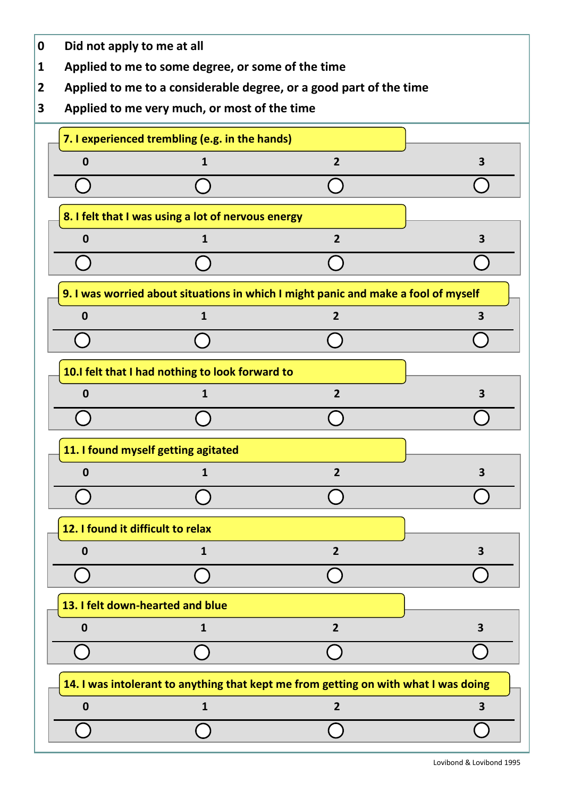